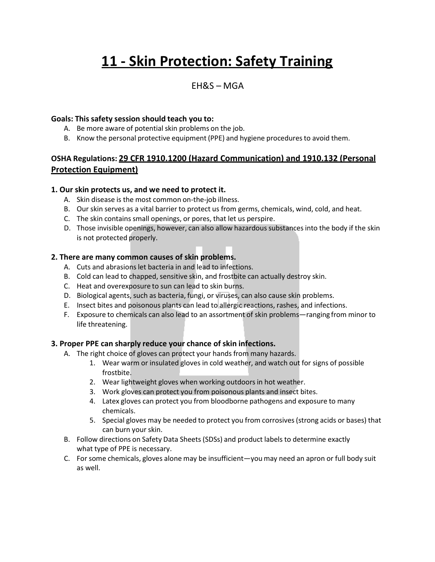# **11 - Skin Protection: Safety Training**

## EH&S – MGA

#### **Goals: This safety session should teach you to:**

- A. Be more aware of potential skin problems on the job.
- B. Know the personal protective equipment (PPE) and hygiene proceduresto avoid them.

### **OSHA Regulations: 29 CFR 1910.1200 (Hazard Communication) and 1910.132 (Personal Protection Equipment)**

#### **1. Our skin protects us, and we need to protect it.**

- A. Skin disease is the most common on-the-job illness.
- B. Our skin serves as a vital barrier to protect us from germs, chemicals, wind, cold, and heat.
- C. The skin contains small openings, or pores, that let us perspire.
- D. Those invisible openings, however, can also allow hazardous substancesinto the body if the skin is not protected properly.

#### **2. There are many common causes of skin problems.**

- A. Cuts and abrasions let bacteria in and lead to infections.
- B. Cold can lead to chapped, sensitive skin, and frostbite can actually destroy skin.
- C. Heat and overexposure to sun can lead to skin burns.
- D. Biological agents, such as bacteria, fungi, or viruses, can also cause skin problems.
- E. Insect bites and poisonous plants can lead to allergic reactions, rashes, and infections.
- F. Exposure to chemicals can also lead to an assortment of skin problems—ranging from minor to life threatening.

#### **3. Proper PPE can sharply reduce your chance of skin infections.**

- A. The right choice of gloves can protect your hands from many hazards.
	- 1. Wear warm or insulated gloves in cold weather, and watch out for signs of possible frostbite.
	- 2. Wear lightweight gloves when working outdoors in hot weather.
	- 3. Work gloves can protect you from poisonous plants and insect bites.
	- 4. Latex gloves can protect you from bloodborne pathogens and exposure to many chemicals.
	- 5. Special gloves may be needed to protect you from corrosives(strong acids or bases) that can burn your skin.
- B. Follow directions on Safety Data Sheets (SDSs) and product labels to determine exactly what type of PPE is necessary.
- C. For some chemicals, gloves alone may be insufficient—youmay need an apron or full body suit as well.